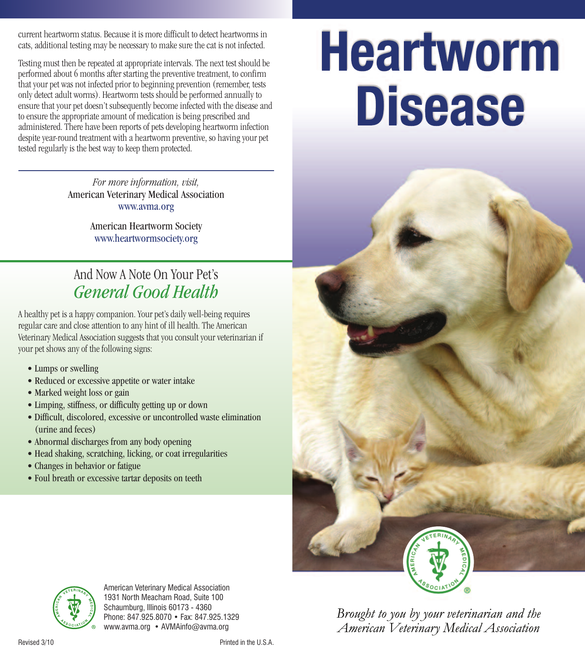current heartworm status. Because it is more difficult to detect heartworms in cats, additional testing may be necessary to make sure the cat is not infected.

Testing must then be repeated at appropriate intervals. The next test should be performed about 6 months after starting the preventive treatment, to confirm that your pet was not infected prior to beginning prevention (remember, tests only detect adult worms). Heartworm tests should be performed annually to ensure that your pet doesn't subsequently become infected with the disease and to ensure the appropriate amount of medication is being prescribed and administered. There have been reports of pets developing heartworm infection despite year-round treatment with a heartworm preventive, so having your pet tested regularly is the best way to keep them protected.

> *For more information, visit,* American Veterinary Medical Association www.avma.org

> > American Heartworm Society www.heartwormsociety.org

# And Now A Note On Your Pet's *General Good Health*

A healthy pet is a happy companion. Your pet's daily well-being requires regular care and close attention to any hint of ill health. The American Veterinary Medical Association suggests that you consult your veterinarian if your pet shows any of the following signs:

- Lumps or swelling
- Reduced or excessive appetite or water intake
- Marked weight loss or gain
- Limping, stiffness, or difficulty getting up or down
- Difficult, discolored, excessive or uncontrolled waste elimination (urine and feces)
- Abnormal discharges from any body opening
- Head shaking, scratching, licking, or coat irregularities
- Changes in behavior or fatigue
- Foul breath or excessive tartar deposits on teeth





American Veterinary Medical Association 1931 North Meacham Road, Suite 100 Schaumburg, Illinois 60173 - 4360 Phone: 847.925.8070 • Fax: 847.925.1329 www.avma.org • AVMAinfo@avma.org

Brought to you by your veterinarian and the American Veterinary Medical Association